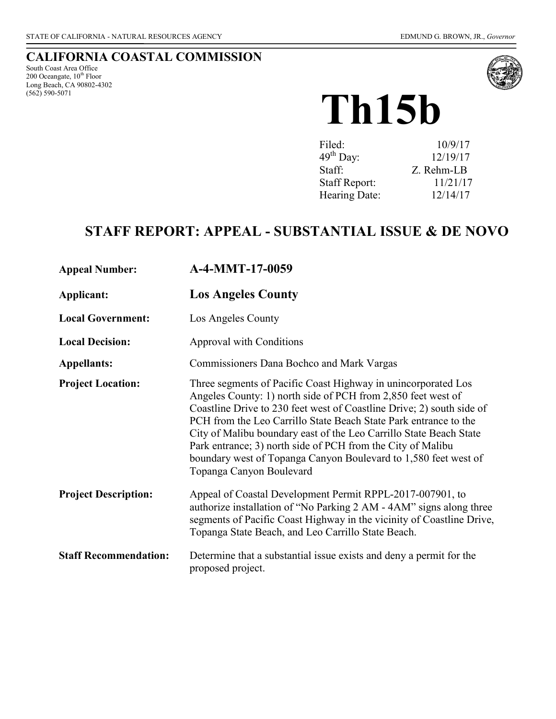## **CALIFORNIA COASTAL COMMISSION**

South Coast Area Office 200 Oceangate, 10<sup>th</sup> Floor Long Beach, CA 90802-4302 (562) 590-5071



# **Th15b**

| Filed:               | 10/9/17    |
|----------------------|------------|
| $49th$ Day:          | 12/19/17   |
| Staff:               | Z. Rehm-LB |
| <b>Staff Report:</b> | 11/21/17   |
| Hearing Date:        | 12/14/17   |

## **STAFF REPORT: APPEAL - SUBSTANTIAL ISSUE & DE NOVO**

| <b>Appeal Number:</b>        | A-4-MMT-17-0059                                                                                                                                                                                                                                                                                                                                                                                                                                                                                                |
|------------------------------|----------------------------------------------------------------------------------------------------------------------------------------------------------------------------------------------------------------------------------------------------------------------------------------------------------------------------------------------------------------------------------------------------------------------------------------------------------------------------------------------------------------|
| Applicant:                   | <b>Los Angeles County</b>                                                                                                                                                                                                                                                                                                                                                                                                                                                                                      |
| <b>Local Government:</b>     | Los Angeles County                                                                                                                                                                                                                                                                                                                                                                                                                                                                                             |
| <b>Local Decision:</b>       | Approval with Conditions                                                                                                                                                                                                                                                                                                                                                                                                                                                                                       |
| <b>Appellants:</b>           | Commissioners Dana Bochco and Mark Vargas                                                                                                                                                                                                                                                                                                                                                                                                                                                                      |
| <b>Project Location:</b>     | Three segments of Pacific Coast Highway in unincorporated Los<br>Angeles County: 1) north side of PCH from 2,850 feet west of<br>Coastline Drive to 230 feet west of Coastline Drive; 2) south side of<br>PCH from the Leo Carrillo State Beach State Park entrance to the<br>City of Malibu boundary east of the Leo Carrillo State Beach State<br>Park entrance; 3) north side of PCH from the City of Malibu<br>boundary west of Topanga Canyon Boulevard to 1,580 feet west of<br>Topanga Canyon Boulevard |
| <b>Project Description:</b>  | Appeal of Coastal Development Permit RPPL-2017-007901, to<br>authorize installation of "No Parking 2 AM - 4AM" signs along three<br>segments of Pacific Coast Highway in the vicinity of Coastline Drive,<br>Topanga State Beach, and Leo Carrillo State Beach.                                                                                                                                                                                                                                                |
| <b>Staff Recommendation:</b> | Determine that a substantial issue exists and deny a permit for the<br>proposed project.                                                                                                                                                                                                                                                                                                                                                                                                                       |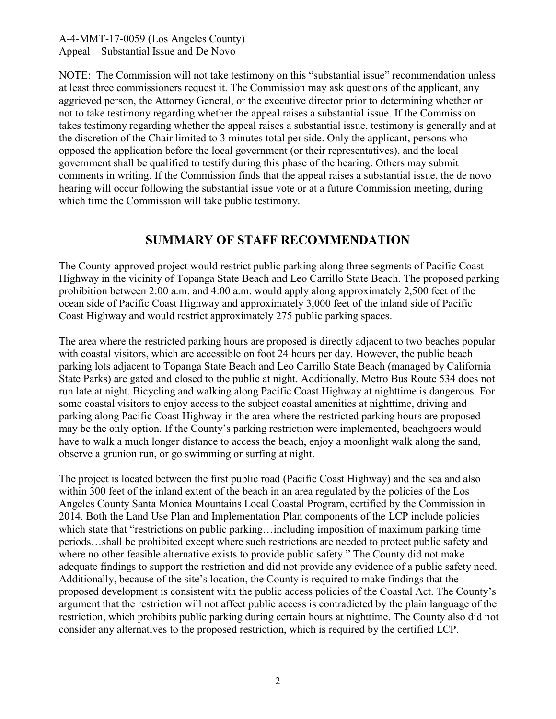NOTE: The Commission will not take testimony on this "substantial issue" recommendation unless at least three commissioners request it. The Commission may ask questions of the applicant, any aggrieved person, the Attorney General, or the executive director prior to determining whether or not to take testimony regarding whether the appeal raises a substantial issue. If the Commission takes testimony regarding whether the appeal raises a substantial issue, testimony is generally and at the discretion of the Chair limited to 3 minutes total per side. Only the applicant, persons who opposed the application before the local government (or their representatives), and the local government shall be qualified to testify during this phase of the hearing. Others may submit comments in writing. If the Commission finds that the appeal raises a substantial issue, the de novo hearing will occur following the substantial issue vote or at a future Commission meeting, during which time the Commission will take public testimony.

## **SUMMARY OF STAFF RECOMMENDATION**

The County-approved project would restrict public parking along three segments of Pacific Coast Highway in the vicinity of Topanga State Beach and Leo Carrillo State Beach. The proposed parking prohibition between 2:00 a.m. and 4:00 a.m. would apply along approximately 2,500 feet of the ocean side of Pacific Coast Highway and approximately 3,000 feet of the inland side of Pacific Coast Highway and would restrict approximately 275 public parking spaces.

The area where the restricted parking hours are proposed is directly adjacent to two beaches popular with coastal visitors, which are accessible on foot 24 hours per day. However, the public beach parking lots adjacent to Topanga State Beach and Leo Carrillo State Beach (managed by California State Parks) are gated and closed to the public at night. Additionally, Metro Bus Route 534 does not run late at night. Bicycling and walking along Pacific Coast Highway at nighttime is dangerous. For some coastal visitors to enjoy access to the subject coastal amenities at nighttime, driving and parking along Pacific Coast Highway in the area where the restricted parking hours are proposed may be the only option. If the County's parking restriction were implemented, beachgoers would have to walk a much longer distance to access the beach, enjoy a moonlight walk along the sand, observe a grunion run, or go swimming or surfing at night.

The project is located between the first public road (Pacific Coast Highway) and the sea and also within 300 feet of the inland extent of the beach in an area regulated by the policies of the Los Angeles County Santa Monica Mountains Local Coastal Program, certified by the Commission in 2014. Both the Land Use Plan and Implementation Plan components of the LCP include policies which state that "restrictions on public parking...including imposition of maximum parking time periods…shall be prohibited except where such restrictions are needed to protect public safety and where no other feasible alternative exists to provide public safety." The County did not make adequate findings to support the restriction and did not provide any evidence of a public safety need. Additionally, because of the site's location, the County is required to make findings that the proposed development is consistent with the public access policies of the Coastal Act. The County's argument that the restriction will not affect public access is contradicted by the plain language of the restriction, which prohibits public parking during certain hours at nighttime. The County also did not consider any alternatives to the proposed restriction, which is required by the certified LCP.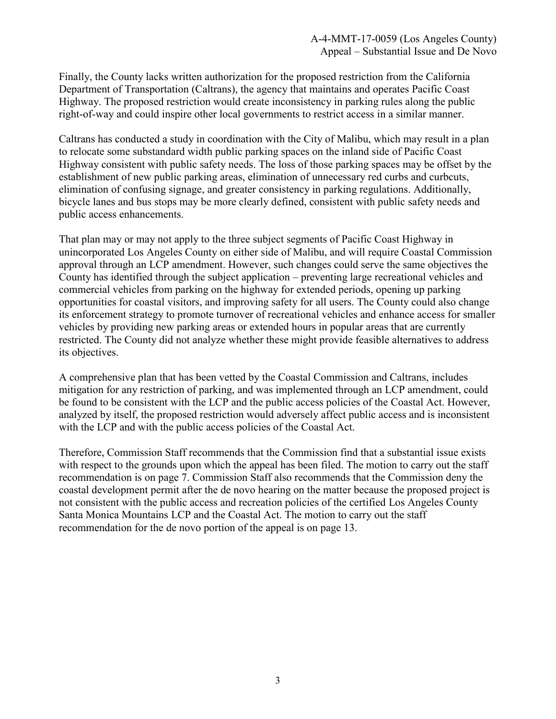Finally, the County lacks written authorization for the proposed restriction from the California Department of Transportation (Caltrans), the agency that maintains and operates Pacific Coast Highway. The proposed restriction would create inconsistency in parking rules along the public right-of-way and could inspire other local governments to restrict access in a similar manner.

Caltrans has conducted a study in coordination with the City of Malibu, which may result in a plan to relocate some substandard width public parking spaces on the inland side of Pacific Coast Highway consistent with public safety needs. The loss of those parking spaces may be offset by the establishment of new public parking areas, elimination of unnecessary red curbs and curbcuts, elimination of confusing signage, and greater consistency in parking regulations. Additionally, bicycle lanes and bus stops may be more clearly defined, consistent with public safety needs and public access enhancements.

That plan may or may not apply to the three subject segments of Pacific Coast Highway in unincorporated Los Angeles County on either side of Malibu, and will require Coastal Commission approval through an LCP amendment. However, such changes could serve the same objectives the County has identified through the subject application – preventing large recreational vehicles and commercial vehicles from parking on the highway for extended periods, opening up parking opportunities for coastal visitors, and improving safety for all users. The County could also change its enforcement strategy to promote turnover of recreational vehicles and enhance access for smaller vehicles by providing new parking areas or extended hours in popular areas that are currently restricted. The County did not analyze whether these might provide feasible alternatives to address its objectives.

A comprehensive plan that has been vetted by the Coastal Commission and Caltrans, includes mitigation for any restriction of parking, and was implemented through an LCP amendment, could be found to be consistent with the LCP and the public access policies of the Coastal Act. However, analyzed by itself, the proposed restriction would adversely affect public access and is inconsistent with the LCP and with the public access policies of the Coastal Act.

Therefore, Commission Staff recommends that the Commission find that a substantial issue exists with respect to the grounds upon which the appeal has been filed. The motion to carry out the staff recommendation is on page 7. Commission Staff also recommends that the Commission deny the coastal development permit after the de novo hearing on the matter because the proposed project is not consistent with the public access and recreation policies of the certified Los Angeles County Santa Monica Mountains LCP and the Coastal Act. The motion to carry out the staff recommendation for the de novo portion of the appeal is on page 13.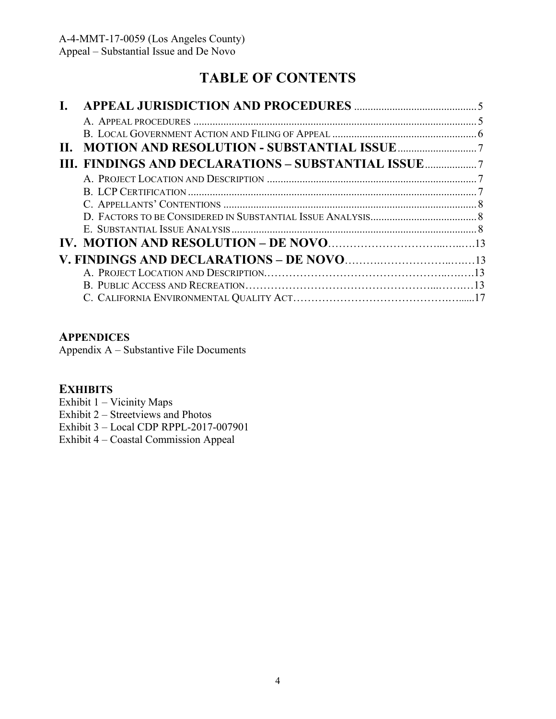# **TABLE OF CONTENTS**

| H. |  |  |
|----|--|--|
|    |  |  |
|    |  |  |
|    |  |  |
|    |  |  |
|    |  |  |
|    |  |  |
|    |  |  |
|    |  |  |
|    |  |  |
|    |  |  |
|    |  |  |

#### **APPENDICES**

Appendix A – Substantive File Documents

## **EXHIBITS**

Exhibit 1 – Vicinity Maps Exhibit 2 – Streetviews and Photos Exhibit 3 – Local CDP RPPL-2017-007901 Exhibit 4 – Coastal Commission Appeal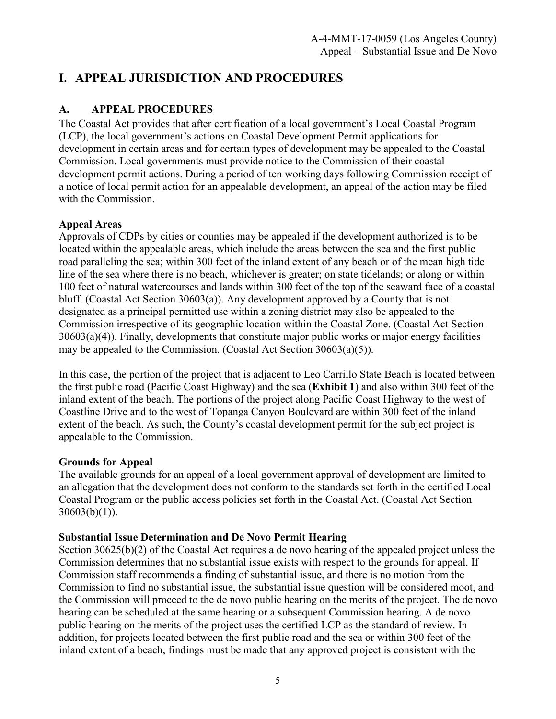## **I. APPEAL JURISDICTION AND PROCEDURES**

#### **A. APPEAL PROCEDURES**

The Coastal Act provides that after certification of a local government's Local Coastal Program (LCP), the local government's actions on Coastal Development Permit applications for development in certain areas and for certain types of development may be appealed to the Coastal Commission. Local governments must provide notice to the Commission of their coastal development permit actions. During a period of ten working days following Commission receipt of a notice of local permit action for an appealable development, an appeal of the action may be filed with the Commission.

#### **Appeal Areas**

Approvals of CDPs by cities or counties may be appealed if the development authorized is to be located within the appealable areas, which include the areas between the sea and the first public road paralleling the sea; within 300 feet of the inland extent of any beach or of the mean high tide line of the sea where there is no beach, whichever is greater; on state tidelands; or along or within 100 feet of natural watercourses and lands within 300 feet of the top of the seaward face of a coastal bluff. (Coastal Act Section 30603(a)). Any development approved by a County that is not designated as a principal permitted use within a zoning district may also be appealed to the Commission irrespective of its geographic location within the Coastal Zone. (Coastal Act Section 30603(a)(4)). Finally, developments that constitute major public works or major energy facilities may be appealed to the Commission. (Coastal Act Section 30603(a)(5)).

In this case, the portion of the project that is adjacent to Leo Carrillo State Beach is located between the first public road (Pacific Coast Highway) and the sea (**Exhibit 1**) and also within 300 feet of the inland extent of the beach. The portions of the project along Pacific Coast Highway to the west of Coastline Drive and to the west of Topanga Canyon Boulevard are within 300 feet of the inland extent of the beach. As such, the County's coastal development permit for the subject project is appealable to the Commission.

#### **Grounds for Appeal**

The available grounds for an appeal of a local government approval of development are limited to an allegation that the development does not conform to the standards set forth in the certified Local Coastal Program or the public access policies set forth in the Coastal Act. (Coastal Act Section  $30603(b)(1)$ ).

#### **Substantial Issue Determination and De Novo Permit Hearing**

Section 30625(b)(2) of the Coastal Act requires a de novo hearing of the appealed project unless the Commission determines that no substantial issue exists with respect to the grounds for appeal. If Commission staff recommends a finding of substantial issue, and there is no motion from the Commission to find no substantial issue, the substantial issue question will be considered moot, and the Commission will proceed to the de novo public hearing on the merits of the project. The de novo hearing can be scheduled at the same hearing or a subsequent Commission hearing. A de novo public hearing on the merits of the project uses the certified LCP as the standard of review. In addition, for projects located between the first public road and the sea or within 300 feet of the inland extent of a beach, findings must be made that any approved project is consistent with the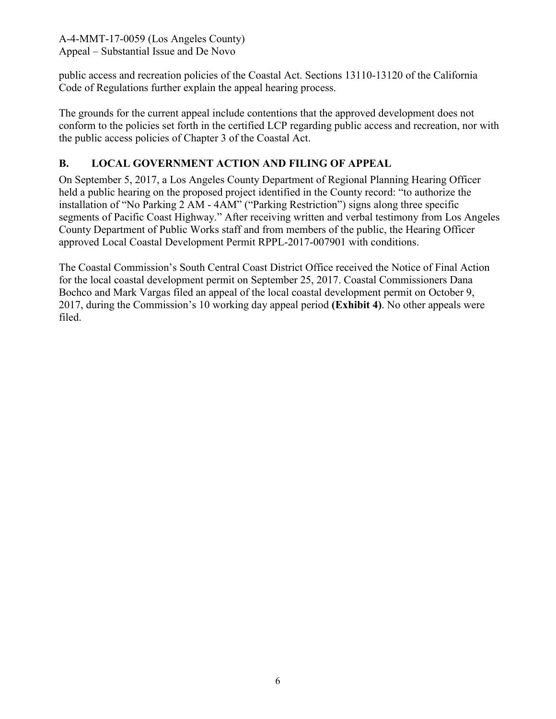public access and recreation policies of the Coastal Act. Sections 13110-13120 of the California Code of Regulations further explain the appeal hearing process.

The grounds for the current appeal include contentions that the approved development does not conform to the policies set forth in the certified LCP regarding public access and recreation, nor with the public access policies of Chapter 3 of the Coastal Act.

### **B. LOCAL GOVERNMENT ACTION AND FILING OF APPEAL**

On September 5, 2017, a Los Angeles County Department of Regional Planning Hearing Officer held a public hearing on the proposed project identified in the County record: "to authorize the installation of "No Parking 2 AM - 4AM" ("Parking Restriction") signs along three specific segments of Pacific Coast Highway." After receiving written and verbal testimony from Los Angeles County Department of Public Works staff and from members of the public, the Hearing Officer approved Local Coastal Development Permit RPPL-2017-007901 with conditions.

The Coastal Commission's South Central Coast District Office received the Notice of Final Action for the local coastal development permit on September 25, 2017. Coastal Commissioners Dana Bochco and Mark Vargas filed an appeal of the local coastal development permit on October 9, 2017, during the Commission's 10 working day appeal period **(Exhibit 4)**. No other appeals were filed.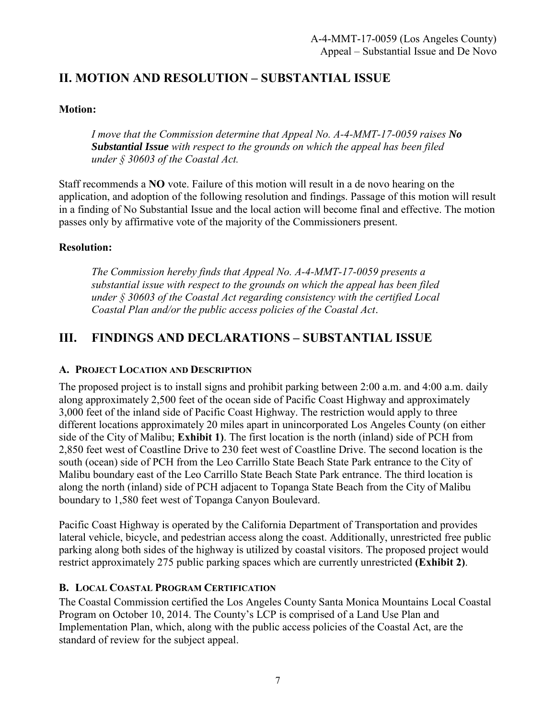## **II. MOTION AND RESOLUTION – SUBSTANTIAL ISSUE**

#### **Motion:**

*I move that the Commission determine that Appeal No. A-4-MMT-17-0059 raises No Substantial Issue with respect to the grounds on which the appeal has been filed under § 30603 of the Coastal Act.*

Staff recommends a **NO** vote. Failure of this motion will result in a de novo hearing on the application, and adoption of the following resolution and findings. Passage of this motion will result in a finding of No Substantial Issue and the local action will become final and effective. The motion passes only by affirmative vote of the majority of the Commissioners present.

#### **Resolution:**

*The Commission hereby finds that Appeal No. A-4-MMT-17-0059 presents a substantial issue with respect to the grounds on which the appeal has been filed under § 30603 of the Coastal Act regarding consistency with the certified Local Coastal Plan and/or the public access policies of the Coastal Act*.

## **III. FINDINGS AND DECLARATIONS – SUBSTANTIAL ISSUE**

#### **A. PROJECT LOCATION AND DESCRIPTION**

The proposed project is to install signs and prohibit parking between 2:00 a.m. and 4:00 a.m. daily along approximately 2,500 feet of the ocean side of Pacific Coast Highway and approximately 3,000 feet of the inland side of Pacific Coast Highway. The restriction would apply to three different locations approximately 20 miles apart in unincorporated Los Angeles County (on either side of the City of Malibu; **Exhibit 1)**. The first location is the north (inland) side of PCH from 2,850 feet west of Coastline Drive to 230 feet west of Coastline Drive. The second location is the south (ocean) side of PCH from the Leo Carrillo State Beach State Park entrance to the City of Malibu boundary east of the Leo Carrillo State Beach State Park entrance. The third location is along the north (inland) side of PCH adjacent to Topanga State Beach from the City of Malibu boundary to 1,580 feet west of Topanga Canyon Boulevard.

Pacific Coast Highway is operated by the California Department of Transportation and provides lateral vehicle, bicycle, and pedestrian access along the coast. Additionally, unrestricted free public parking along both sides of the highway is utilized by coastal visitors. The proposed project would restrict approximately 275 public parking spaces which are currently unrestricted **(Exhibit 2)**.

#### **B. LOCAL COASTAL PROGRAM CERTIFICATION**

The Coastal Commission certified the Los Angeles County Santa Monica Mountains Local Coastal Program on October 10, 2014. The County's LCP is comprised of a Land Use Plan and Implementation Plan, which, along with the public access policies of the Coastal Act, are the standard of review for the subject appeal.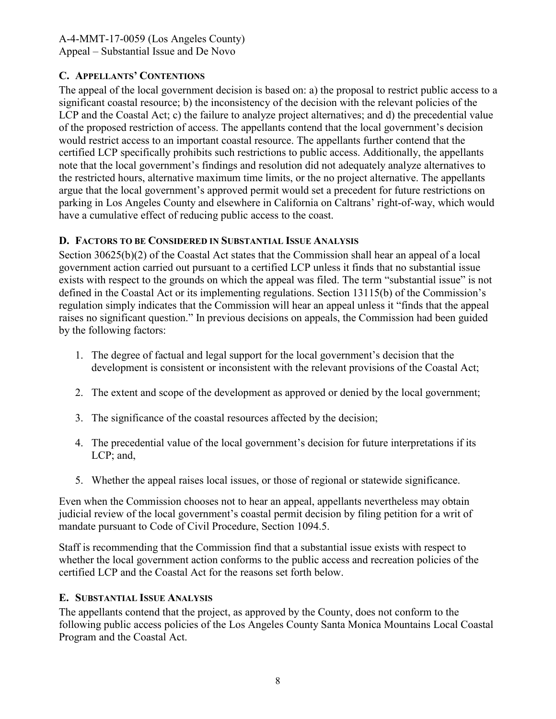#### **C. APPELLANTS' CONTENTIONS**

The appeal of the local government decision is based on: a) the proposal to restrict public access to a significant coastal resource; b) the inconsistency of the decision with the relevant policies of the LCP and the Coastal Act; c) the failure to analyze project alternatives; and d) the precedential value of the proposed restriction of access. The appellants contend that the local government's decision would restrict access to an important coastal resource. The appellants further contend that the certified LCP specifically prohibits such restrictions to public access. Additionally, the appellants note that the local government's findings and resolution did not adequately analyze alternatives to the restricted hours, alternative maximum time limits, or the no project alternative. The appellants argue that the local government's approved permit would set a precedent for future restrictions on parking in Los Angeles County and elsewhere in California on Caltrans' right-of-way, which would have a cumulative effect of reducing public access to the coast.

#### **D. FACTORS TO BE CONSIDERED IN SUBSTANTIAL ISSUE ANALYSIS**

Section 30625(b)(2) of the Coastal Act states that the Commission shall hear an appeal of a local government action carried out pursuant to a certified LCP unless it finds that no substantial issue exists with respect to the grounds on which the appeal was filed. The term "substantial issue" is not defined in the Coastal Act or its implementing regulations. Section 13115(b) of the Commission's regulation simply indicates that the Commission will hear an appeal unless it "finds that the appeal raises no significant question." In previous decisions on appeals, the Commission had been guided by the following factors:

- 1. The degree of factual and legal support for the local government's decision that the development is consistent or inconsistent with the relevant provisions of the Coastal Act;
- 2. The extent and scope of the development as approved or denied by the local government;
- 3. The significance of the coastal resources affected by the decision;
- 4. The precedential value of the local government's decision for future interpretations if its LCP; and,
- 5. Whether the appeal raises local issues, or those of regional or statewide significance.

Even when the Commission chooses not to hear an appeal, appellants nevertheless may obtain judicial review of the local government's coastal permit decision by filing petition for a writ of mandate pursuant to Code of Civil Procedure, Section 1094.5.

Staff is recommending that the Commission find that a substantial issue exists with respect to whether the local government action conforms to the public access and recreation policies of the certified LCP and the Coastal Act for the reasons set forth below.

#### **E. SUBSTANTIAL ISSUE ANALYSIS**

The appellants contend that the project, as approved by the County, does not conform to the following public access policies of the Los Angeles County Santa Monica Mountains Local Coastal Program and the Coastal Act.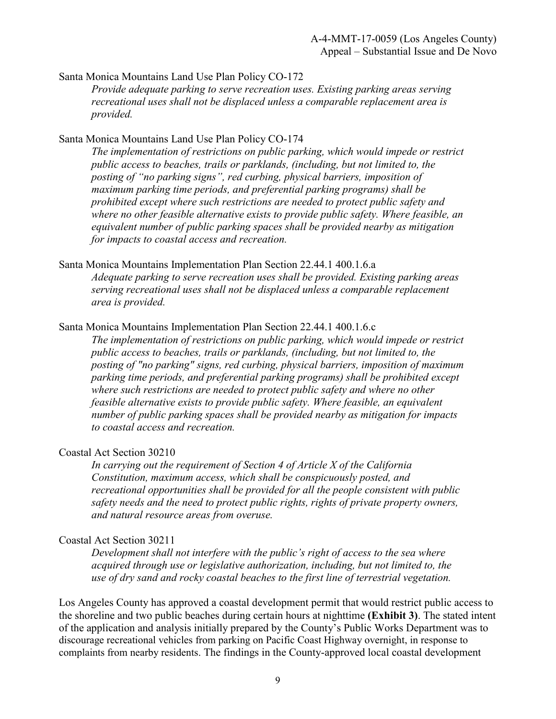#### Santa Monica Mountains Land Use Plan Policy CO-172

*Provide adequate parking to serve recreation uses. Existing parking areas serving recreational uses shall not be displaced unless a comparable replacement area is provided.*

#### Santa Monica Mountains Land Use Plan Policy CO-174

*The implementation of restrictions on public parking, which would impede or restrict public access to beaches, trails or parklands, (including, but not limited to, the posting of "no parking signs", red curbing, physical barriers, imposition of maximum parking time periods, and preferential parking programs) shall be prohibited except where such restrictions are needed to protect public safety and where no other feasible alternative exists to provide public safety. Where feasible, an equivalent number of public parking spaces shall be provided nearby as mitigation for impacts to coastal access and recreation.* 

Santa Monica Mountains Implementation Plan Section 22.44.1 400.1.6.a

*Adequate parking to serve recreation uses shall be provided. Existing parking areas serving recreational uses shall not be displaced unless a comparable replacement area is provided.* 

#### Santa Monica Mountains Implementation Plan Section 22.44.1 400.1.6.c

*The implementation of restrictions on public parking, which would impede or restrict public access to beaches, trails or parklands, (including, but not limited to, the posting of "no parking" signs, red curbing, physical barriers, imposition of maximum parking time periods, and preferential parking programs) shall be prohibited except where such restrictions are needed to protect public safety and where no other feasible alternative exists to provide public safety. Where feasible, an equivalent number of public parking spaces shall be provided nearby as mitigation for impacts to coastal access and recreation.* 

#### Coastal Act Section 30210

*In carrying out the requirement of Section 4 of Article X of the California Constitution, maximum access, which shall be conspicuously posted, and recreational opportunities shall be provided for all the people consistent with public safety needs and the need to protect public rights, rights of private property owners, and natural resource areas from overuse.* 

#### Coastal Act Section 30211

*Development shall not interfere with the public's right of access to the sea where acquired through use or legislative authorization, including, but not limited to, the use of dry sand and rocky coastal beaches to the first line of terrestrial vegetation.* 

Los Angeles County has approved a coastal development permit that would restrict public access to the shoreline and two public beaches during certain hours at nighttime **(Exhibit 3)**. The stated intent of the application and analysis initially prepared by the County's Public Works Department was to discourage recreational vehicles from parking on Pacific Coast Highway overnight, in response to complaints from nearby residents. The findings in the County-approved local coastal development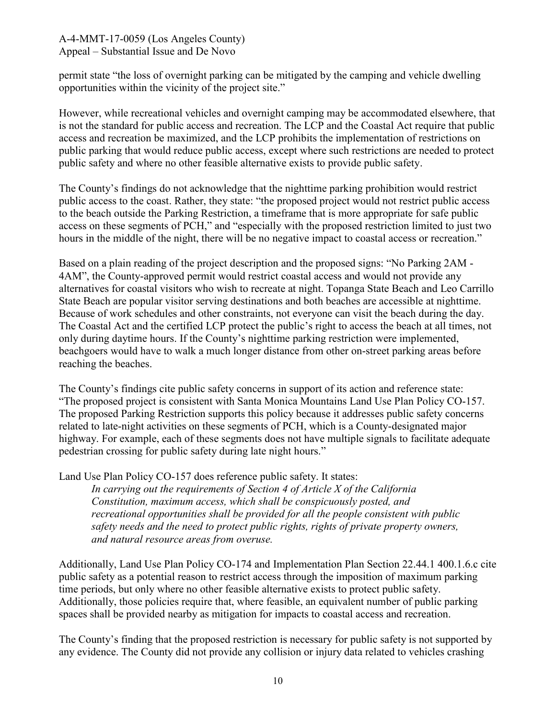permit state "the loss of overnight parking can be mitigated by the camping and vehicle dwelling opportunities within the vicinity of the project site."

However, while recreational vehicles and overnight camping may be accommodated elsewhere, that is not the standard for public access and recreation. The LCP and the Coastal Act require that public access and recreation be maximized, and the LCP prohibits the implementation of restrictions on public parking that would reduce public access, except where such restrictions are needed to protect public safety and where no other feasible alternative exists to provide public safety.

The County's findings do not acknowledge that the nighttime parking prohibition would restrict public access to the coast. Rather, they state: "the proposed project would not restrict public access to the beach outside the Parking Restriction, a timeframe that is more appropriate for safe public access on these segments of PCH," and "especially with the proposed restriction limited to just two hours in the middle of the night, there will be no negative impact to coastal access or recreation."

Based on a plain reading of the project description and the proposed signs: "No Parking 2AM - 4AM", the County-approved permit would restrict coastal access and would not provide any alternatives for coastal visitors who wish to recreate at night. Topanga State Beach and Leo Carrillo State Beach are popular visitor serving destinations and both beaches are accessible at nighttime. Because of work schedules and other constraints, not everyone can visit the beach during the day. The Coastal Act and the certified LCP protect the public's right to access the beach at all times, not only during daytime hours. If the County's nighttime parking restriction were implemented, beachgoers would have to walk a much longer distance from other on-street parking areas before reaching the beaches.

The County's findings cite public safety concerns in support of its action and reference state: "The proposed project is consistent with Santa Monica Mountains Land Use Plan Policy CO-157. The proposed Parking Restriction supports this policy because it addresses public safety concerns related to late-night activities on these segments of PCH, which is a County-designated major highway. For example, each of these segments does not have multiple signals to facilitate adequate pedestrian crossing for public safety during late night hours."

Land Use Plan Policy CO-157 does reference public safety. It states:

*In carrying out the requirements of Section 4 of Article X of the California Constitution, maximum access, which shall be conspicuously posted, and recreational opportunities shall be provided for all the people consistent with public safety needs and the need to protect public rights, rights of private property owners, and natural resource areas from overuse.* 

Additionally, Land Use Plan Policy CO-174 and Implementation Plan Section 22.44.1 400.1.6.c cite public safety as a potential reason to restrict access through the imposition of maximum parking time periods, but only where no other feasible alternative exists to protect public safety. Additionally, those policies require that, where feasible, an equivalent number of public parking spaces shall be provided nearby as mitigation for impacts to coastal access and recreation.

The County's finding that the proposed restriction is necessary for public safety is not supported by any evidence. The County did not provide any collision or injury data related to vehicles crashing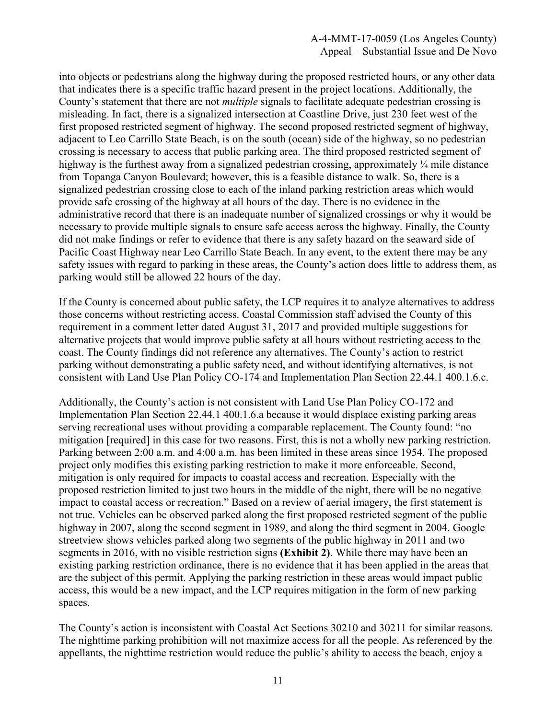into objects or pedestrians along the highway during the proposed restricted hours, or any other data that indicates there is a specific traffic hazard present in the project locations. Additionally, the County's statement that there are not *multiple* signals to facilitate adequate pedestrian crossing is misleading. In fact, there is a signalized intersection at Coastline Drive, just 230 feet west of the first proposed restricted segment of highway. The second proposed restricted segment of highway, adjacent to Leo Carrillo State Beach, is on the south (ocean) side of the highway, so no pedestrian crossing is necessary to access that public parking area. The third proposed restricted segment of highway is the furthest away from a signalized pedestrian crossing, approximately  $\frac{1}{4}$  mile distance from Topanga Canyon Boulevard; however, this is a feasible distance to walk. So, there is a signalized pedestrian crossing close to each of the inland parking restriction areas which would provide safe crossing of the highway at all hours of the day. There is no evidence in the administrative record that there is an inadequate number of signalized crossings or why it would be necessary to provide multiple signals to ensure safe access across the highway. Finally, the County did not make findings or refer to evidence that there is any safety hazard on the seaward side of Pacific Coast Highway near Leo Carrillo State Beach. In any event, to the extent there may be any safety issues with regard to parking in these areas, the County's action does little to address them, as parking would still be allowed 22 hours of the day.

If the County is concerned about public safety, the LCP requires it to analyze alternatives to address those concerns without restricting access. Coastal Commission staff advised the County of this requirement in a comment letter dated August 31, 2017 and provided multiple suggestions for alternative projects that would improve public safety at all hours without restricting access to the coast. The County findings did not reference any alternatives. The County's action to restrict parking without demonstrating a public safety need, and without identifying alternatives, is not consistent with Land Use Plan Policy CO-174 and Implementation Plan Section 22.44.1 400.1.6.c.

Additionally, the County's action is not consistent with Land Use Plan Policy CO-172 and Implementation Plan Section 22.44.1 400.1.6.a because it would displace existing parking areas serving recreational uses without providing a comparable replacement. The County found: "no mitigation [required] in this case for two reasons. First, this is not a wholly new parking restriction. Parking between 2:00 a.m. and 4:00 a.m. has been limited in these areas since 1954. The proposed project only modifies this existing parking restriction to make it more enforceable. Second, mitigation is only required for impacts to coastal access and recreation. Especially with the proposed restriction limited to just two hours in the middle of the night, there will be no negative impact to coastal access or recreation." Based on a review of aerial imagery, the first statement is not true. Vehicles can be observed parked along the first proposed restricted segment of the public highway in 2007, along the second segment in 1989, and along the third segment in 2004. Google streetview shows vehicles parked along two segments of the public highway in 2011 and two segments in 2016, with no visible restriction signs **(Exhibit 2)**. While there may have been an existing parking restriction ordinance, there is no evidence that it has been applied in the areas that are the subject of this permit. Applying the parking restriction in these areas would impact public access, this would be a new impact, and the LCP requires mitigation in the form of new parking spaces.

The County's action is inconsistent with Coastal Act Sections 30210 and 30211 for similar reasons. The nighttime parking prohibition will not maximize access for all the people. As referenced by the appellants, the nighttime restriction would reduce the public's ability to access the beach, enjoy a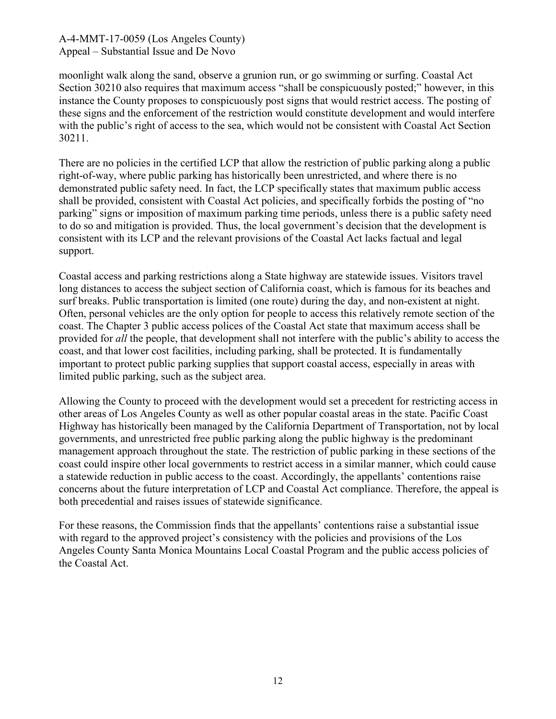moonlight walk along the sand, observe a grunion run, or go swimming or surfing. Coastal Act Section 30210 also requires that maximum access "shall be conspicuously posted;" however, in this instance the County proposes to conspicuously post signs that would restrict access. The posting of these signs and the enforcement of the restriction would constitute development and would interfere with the public's right of access to the sea, which would not be consistent with Coastal Act Section 30211.

There are no policies in the certified LCP that allow the restriction of public parking along a public right-of-way, where public parking has historically been unrestricted, and where there is no demonstrated public safety need. In fact, the LCP specifically states that maximum public access shall be provided, consistent with Coastal Act policies, and specifically forbids the posting of "no parking" signs or imposition of maximum parking time periods, unless there is a public safety need to do so and mitigation is provided. Thus, the local government's decision that the development is consistent with its LCP and the relevant provisions of the Coastal Act lacks factual and legal support.

Coastal access and parking restrictions along a State highway are statewide issues. Visitors travel long distances to access the subject section of California coast, which is famous for its beaches and surf breaks. Public transportation is limited (one route) during the day, and non-existent at night. Often, personal vehicles are the only option for people to access this relatively remote section of the coast. The Chapter 3 public access polices of the Coastal Act state that maximum access shall be provided for *all* the people, that development shall not interfere with the public's ability to access the coast, and that lower cost facilities, including parking, shall be protected. It is fundamentally important to protect public parking supplies that support coastal access, especially in areas with limited public parking, such as the subject area.

Allowing the County to proceed with the development would set a precedent for restricting access in other areas of Los Angeles County as well as other popular coastal areas in the state. Pacific Coast Highway has historically been managed by the California Department of Transportation, not by local governments, and unrestricted free public parking along the public highway is the predominant management approach throughout the state. The restriction of public parking in these sections of the coast could inspire other local governments to restrict access in a similar manner, which could cause a statewide reduction in public access to the coast. Accordingly, the appellants' contentions raise concerns about the future interpretation of LCP and Coastal Act compliance. Therefore, the appeal is both precedential and raises issues of statewide significance.

For these reasons, the Commission finds that the appellants' contentions raise a substantial issue with regard to the approved project's consistency with the policies and provisions of the Los Angeles County Santa Monica Mountains Local Coastal Program and the public access policies of the Coastal Act.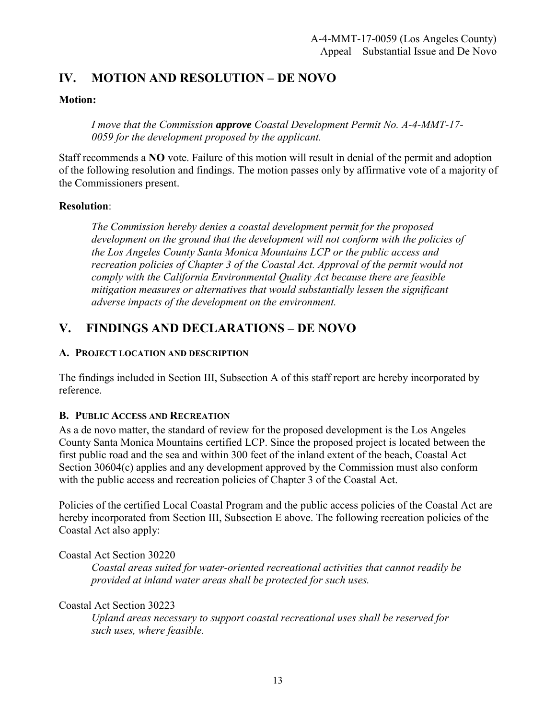## **IV. MOTION AND RESOLUTION – DE NOVO**

#### **Motion:**

*I move that the Commission approve Coastal Development Permit No. A-4-MMT-17- 0059 for the development proposed by the applicant.* 

Staff recommends a **NO** vote. Failure of this motion will result in denial of the permit and adoption of the following resolution and findings. The motion passes only by affirmative vote of a majority of the Commissioners present.

#### **Resolution**:

*The Commission hereby denies a coastal development permit for the proposed development on the ground that the development will not conform with the policies of the Los Angeles County Santa Monica Mountains LCP or the public access and recreation policies of Chapter 3 of the Coastal Act. Approval of the permit would not comply with the California Environmental Quality Act because there are feasible mitigation measures or alternatives that would substantially lessen the significant adverse impacts of the development on the environment.*

## **V. FINDINGS AND DECLARATIONS – DE NOVO**

#### **A. PROJECT LOCATION AND DESCRIPTION**

The findings included in Section III, Subsection A of this staff report are hereby incorporated by reference.

#### **B. PUBLIC ACCESS AND RECREATION**

As a de novo matter, the standard of review for the proposed development is the Los Angeles County Santa Monica Mountains certified LCP. Since the proposed project is located between the first public road and the sea and within 300 feet of the inland extent of the beach, Coastal Act Section 30604(c) applies and any development approved by the Commission must also conform with the public access and recreation policies of Chapter 3 of the Coastal Act.

Policies of the certified Local Coastal Program and the public access policies of the Coastal Act are hereby incorporated from Section III, Subsection E above. The following recreation policies of the Coastal Act also apply:

Coastal Act Section 30220

*Coastal areas suited for water-oriented recreational activities that cannot readily be provided at inland water areas shall be protected for such uses.*

Coastal Act Section 30223

*Upland areas necessary to support coastal recreational uses shall be reserved for such uses, where feasible.*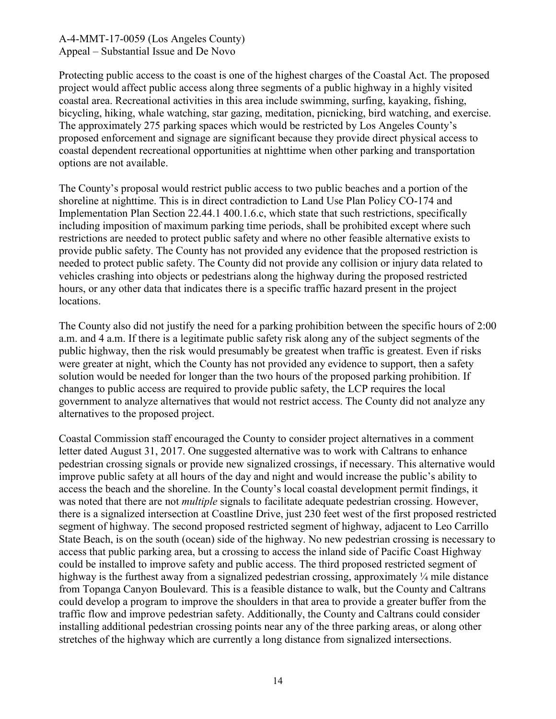Protecting public access to the coast is one of the highest charges of the Coastal Act. The proposed project would affect public access along three segments of a public highway in a highly visited coastal area. Recreational activities in this area include swimming, surfing, kayaking, fishing, bicycling, hiking, whale watching, star gazing, meditation, picnicking, bird watching, and exercise. The approximately 275 parking spaces which would be restricted by Los Angeles County's proposed enforcement and signage are significant because they provide direct physical access to coastal dependent recreational opportunities at nighttime when other parking and transportation options are not available.

The County's proposal would restrict public access to two public beaches and a portion of the shoreline at nighttime. This is in direct contradiction to Land Use Plan Policy CO-174 and Implementation Plan Section 22.44.1 400.1.6.c, which state that such restrictions, specifically including imposition of maximum parking time periods, shall be prohibited except where such restrictions are needed to protect public safety and where no other feasible alternative exists to provide public safety. The County has not provided any evidence that the proposed restriction is needed to protect public safety. The County did not provide any collision or injury data related to vehicles crashing into objects or pedestrians along the highway during the proposed restricted hours, or any other data that indicates there is a specific traffic hazard present in the project locations.

The County also did not justify the need for a parking prohibition between the specific hours of 2:00 a.m. and 4 a.m. If there is a legitimate public safety risk along any of the subject segments of the public highway, then the risk would presumably be greatest when traffic is greatest. Even if risks were greater at night, which the County has not provided any evidence to support, then a safety solution would be needed for longer than the two hours of the proposed parking prohibition. If changes to public access are required to provide public safety, the LCP requires the local government to analyze alternatives that would not restrict access. The County did not analyze any alternatives to the proposed project.

Coastal Commission staff encouraged the County to consider project alternatives in a comment letter dated August 31, 2017. One suggested alternative was to work with Caltrans to enhance pedestrian crossing signals or provide new signalized crossings, if necessary. This alternative would improve public safety at all hours of the day and night and would increase the public's ability to access the beach and the shoreline. In the County's local coastal development permit findings, it was noted that there are not *multiple* signals to facilitate adequate pedestrian crossing. However, there is a signalized intersection at Coastline Drive, just 230 feet west of the first proposed restricted segment of highway. The second proposed restricted segment of highway, adjacent to Leo Carrillo State Beach, is on the south (ocean) side of the highway. No new pedestrian crossing is necessary to access that public parking area, but a crossing to access the inland side of Pacific Coast Highway could be installed to improve safety and public access. The third proposed restricted segment of highway is the furthest away from a signalized pedestrian crossing, approximately  $\frac{1}{4}$  mile distance from Topanga Canyon Boulevard. This is a feasible distance to walk, but the County and Caltrans could develop a program to improve the shoulders in that area to provide a greater buffer from the traffic flow and improve pedestrian safety. Additionally, the County and Caltrans could consider installing additional pedestrian crossing points near any of the three parking areas, or along other stretches of the highway which are currently a long distance from signalized intersections.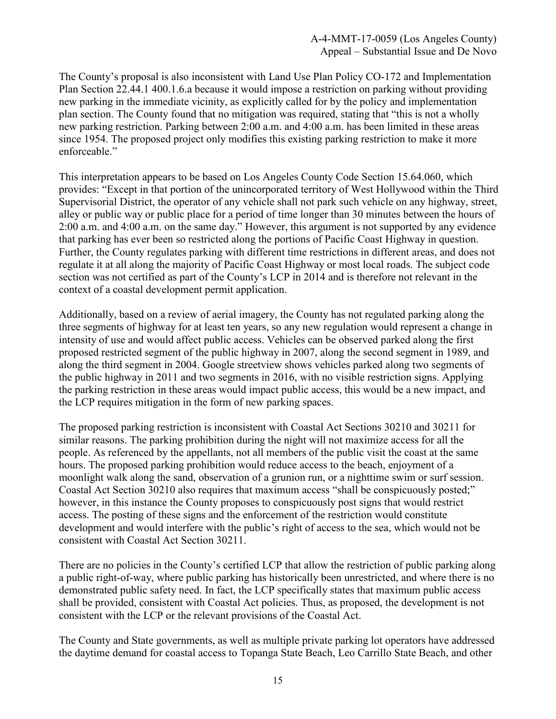The County's proposal is also inconsistent with Land Use Plan Policy CO-172 and Implementation Plan Section 22.44.1 400.1.6.a because it would impose a restriction on parking without providing new parking in the immediate vicinity, as explicitly called for by the policy and implementation plan section. The County found that no mitigation was required, stating that "this is not a wholly new parking restriction. Parking between 2:00 a.m. and 4:00 a.m. has been limited in these areas since 1954. The proposed project only modifies this existing parking restriction to make it more enforceable."

This interpretation appears to be based on Los Angeles County Code Section 15.64.060, which provides: "Except in that portion of the unincorporated territory of West Hollywood within the Third Supervisorial District, the operator of any vehicle shall not park such vehicle on any highway, street, alley or public way or public place for a period of time longer than 30 minutes between the hours of 2:00 a.m. and 4:00 a.m. on the same day." However, this argument is not supported by any evidence that parking has ever been so restricted along the portions of Pacific Coast Highway in question. Further, the County regulates parking with different time restrictions in different areas, and does not regulate it at all along the majority of Pacific Coast Highway or most local roads. The subject code section was not certified as part of the County's LCP in 2014 and is therefore not relevant in the context of a coastal development permit application.

Additionally, based on a review of aerial imagery, the County has not regulated parking along the three segments of highway for at least ten years, so any new regulation would represent a change in intensity of use and would affect public access. Vehicles can be observed parked along the first proposed restricted segment of the public highway in 2007, along the second segment in 1989, and along the third segment in 2004. Google streetview shows vehicles parked along two segments of the public highway in 2011 and two segments in 2016, with no visible restriction signs. Applying the parking restriction in these areas would impact public access, this would be a new impact, and the LCP requires mitigation in the form of new parking spaces.

The proposed parking restriction is inconsistent with Coastal Act Sections 30210 and 30211 for similar reasons. The parking prohibition during the night will not maximize access for all the people. As referenced by the appellants, not all members of the public visit the coast at the same hours. The proposed parking prohibition would reduce access to the beach, enjoyment of a moonlight walk along the sand, observation of a grunion run, or a nighttime swim or surf session. Coastal Act Section 30210 also requires that maximum access "shall be conspicuously posted;" however, in this instance the County proposes to conspicuously post signs that would restrict access. The posting of these signs and the enforcement of the restriction would constitute development and would interfere with the public's right of access to the sea, which would not be consistent with Coastal Act Section 30211.

There are no policies in the County's certified LCP that allow the restriction of public parking along a public right-of-way, where public parking has historically been unrestricted, and where there is no demonstrated public safety need. In fact, the LCP specifically states that maximum public access shall be provided, consistent with Coastal Act policies. Thus, as proposed, the development is not consistent with the LCP or the relevant provisions of the Coastal Act.

The County and State governments, as well as multiple private parking lot operators have addressed the daytime demand for coastal access to Topanga State Beach, Leo Carrillo State Beach, and other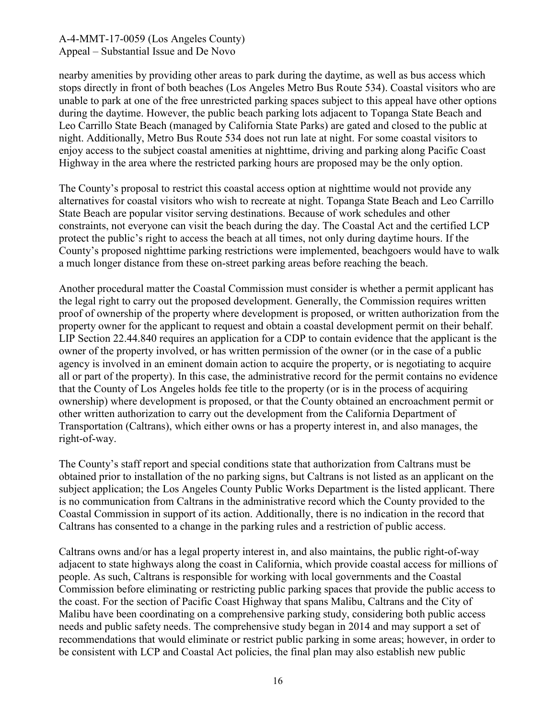nearby amenities by providing other areas to park during the daytime, as well as bus access which stops directly in front of both beaches (Los Angeles Metro Bus Route 534). Coastal visitors who are unable to park at one of the free unrestricted parking spaces subject to this appeal have other options during the daytime. However, the public beach parking lots adjacent to Topanga State Beach and Leo Carrillo State Beach (managed by California State Parks) are gated and closed to the public at night. Additionally, Metro Bus Route 534 does not run late at night. For some coastal visitors to enjoy access to the subject coastal amenities at nighttime, driving and parking along Pacific Coast Highway in the area where the restricted parking hours are proposed may be the only option.

The County's proposal to restrict this coastal access option at nighttime would not provide any alternatives for coastal visitors who wish to recreate at night. Topanga State Beach and Leo Carrillo State Beach are popular visitor serving destinations. Because of work schedules and other constraints, not everyone can visit the beach during the day. The Coastal Act and the certified LCP protect the public's right to access the beach at all times, not only during daytime hours. If the County's proposed nighttime parking restrictions were implemented, beachgoers would have to walk a much longer distance from these on-street parking areas before reaching the beach.

Another procedural matter the Coastal Commission must consider is whether a permit applicant has the legal right to carry out the proposed development. Generally, the Commission requires written proof of ownership of the property where development is proposed, or written authorization from the property owner for the applicant to request and obtain a coastal development permit on their behalf. LIP Section 22.44.840 requires an application for a CDP to contain evidence that the applicant is the owner of the property involved, or has written permission of the owner (or in the case of a public agency is involved in an eminent domain action to acquire the property, or is negotiating to acquire all or part of the property). In this case, the administrative record for the permit contains no evidence that the County of Los Angeles holds fee title to the property (or is in the process of acquiring ownership) where development is proposed, or that the County obtained an encroachment permit or other written authorization to carry out the development from the California Department of Transportation (Caltrans), which either owns or has a property interest in, and also manages, the right-of-way.

The County's staff report and special conditions state that authorization from Caltrans must be obtained prior to installation of the no parking signs, but Caltrans is not listed as an applicant on the subject application; the Los Angeles County Public Works Department is the listed applicant. There is no communication from Caltrans in the administrative record which the County provided to the Coastal Commission in support of its action. Additionally, there is no indication in the record that Caltrans has consented to a change in the parking rules and a restriction of public access.

Caltrans owns and/or has a legal property interest in, and also maintains, the public right-of-way adjacent to state highways along the coast in California, which provide coastal access for millions of people. As such, Caltrans is responsible for working with local governments and the Coastal Commission before eliminating or restricting public parking spaces that provide the public access to the coast. For the section of Pacific Coast Highway that spans Malibu, Caltrans and the City of Malibu have been coordinating on a comprehensive parking study, considering both public access needs and public safety needs. The comprehensive study began in 2014 and may support a set of recommendations that would eliminate or restrict public parking in some areas; however, in order to be consistent with LCP and Coastal Act policies, the final plan may also establish new public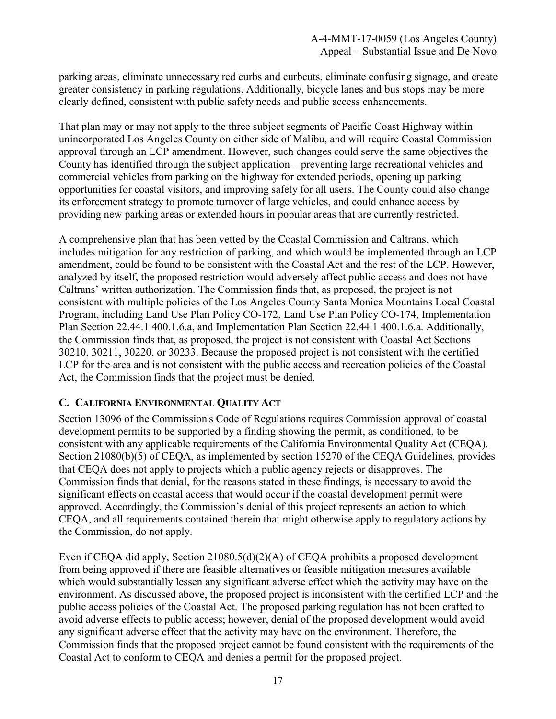parking areas, eliminate unnecessary red curbs and curbcuts, eliminate confusing signage, and create greater consistency in parking regulations. Additionally, bicycle lanes and bus stops may be more clearly defined, consistent with public safety needs and public access enhancements.

That plan may or may not apply to the three subject segments of Pacific Coast Highway within unincorporated Los Angeles County on either side of Malibu, and will require Coastal Commission approval through an LCP amendment. However, such changes could serve the same objectives the County has identified through the subject application – preventing large recreational vehicles and commercial vehicles from parking on the highway for extended periods, opening up parking opportunities for coastal visitors, and improving safety for all users. The County could also change its enforcement strategy to promote turnover of large vehicles, and could enhance access by providing new parking areas or extended hours in popular areas that are currently restricted.

A comprehensive plan that has been vetted by the Coastal Commission and Caltrans, which includes mitigation for any restriction of parking, and which would be implemented through an LCP amendment, could be found to be consistent with the Coastal Act and the rest of the LCP. However, analyzed by itself, the proposed restriction would adversely affect public access and does not have Caltrans' written authorization. The Commission finds that, as proposed, the project is not consistent with multiple policies of the Los Angeles County Santa Monica Mountains Local Coastal Program, including Land Use Plan Policy CO-172, Land Use Plan Policy CO-174, Implementation Plan Section 22.44.1 400.1.6.a, and Implementation Plan Section 22.44.1 400.1.6.a. Additionally, the Commission finds that, as proposed, the project is not consistent with Coastal Act Sections 30210, 30211, 30220, or 30233. Because the proposed project is not consistent with the certified LCP for the area and is not consistent with the public access and recreation policies of the Coastal Act, the Commission finds that the project must be denied.

#### **C. CALIFORNIA ENVIRONMENTAL QUALITY ACT**

Section 13096 of the Commission's Code of Regulations requires Commission approval of coastal development permits to be supported by a finding showing the permit, as conditioned, to be consistent with any applicable requirements of the California Environmental Quality Act (CEQA). Section 21080(b)(5) of CEQA, as implemented by section 15270 of the CEQA Guidelines, provides that CEQA does not apply to projects which a public agency rejects or disapproves. The Commission finds that denial, for the reasons stated in these findings, is necessary to avoid the significant effects on coastal access that would occur if the coastal development permit were approved. Accordingly, the Commission's denial of this project represents an action to which CEQA, and all requirements contained therein that might otherwise apply to regulatory actions by the Commission, do not apply.

Even if CEQA did apply, Section 21080.5(d)(2)(A) of CEQA prohibits a proposed development from being approved if there are feasible alternatives or feasible mitigation measures available which would substantially lessen any significant adverse effect which the activity may have on the environment. As discussed above, the proposed project is inconsistent with the certified LCP and the public access policies of the Coastal Act. The proposed parking regulation has not been crafted to avoid adverse effects to public access; however, denial of the proposed development would avoid any significant adverse effect that the activity may have on the environment. Therefore, the Commission finds that the proposed project cannot be found consistent with the requirements of the Coastal Act to conform to CEQA and denies a permit for the proposed project.